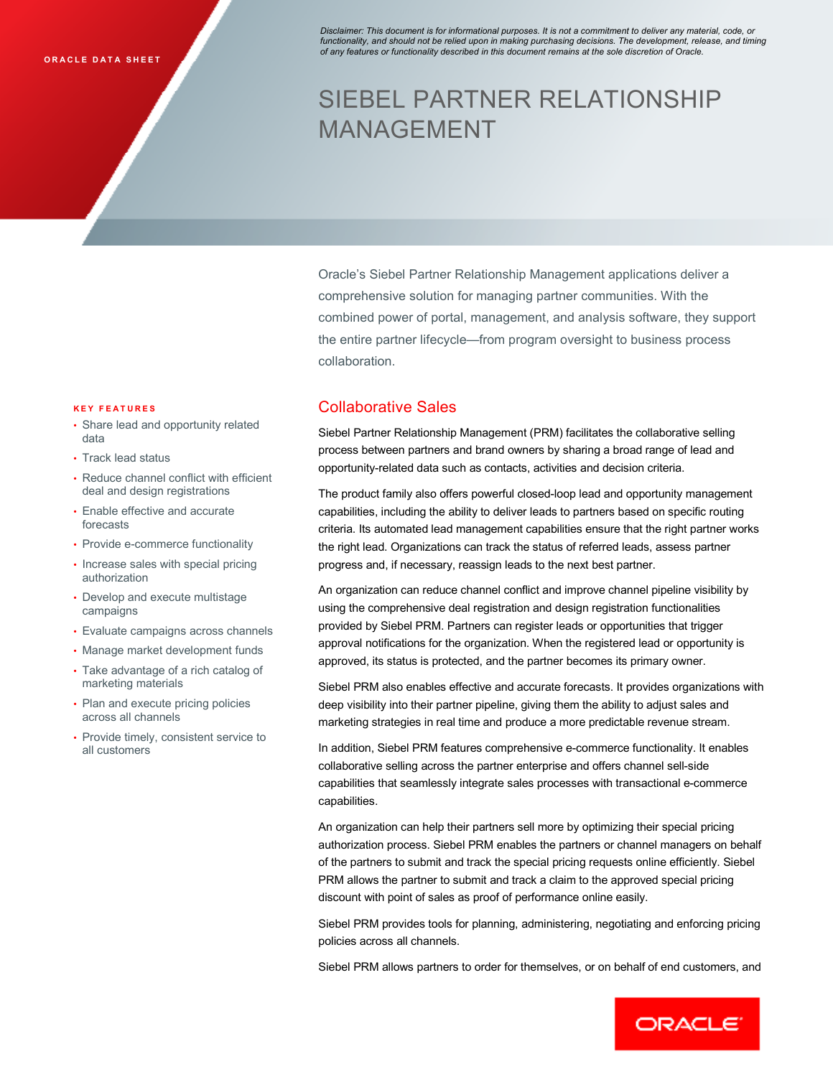*Disclaimer: This document is for informational purposes. It is not a commitment to deliver any material, code, or functionality, and should not be relied upon in making purchasing decisions. The development, release, and timing*  **ORACLE DATA SHEET** *of any features or functionality described in this document remains at the sole discretion of Oracle.* 

# SIEBEL PARTNER RELATIONSHIP MANAGEMENT

 Oracle's Siebel Partner Relationship Management applications deliver a comprehensive solution for managing partner communities. With the combined power of portal, management, and analysis software, they support the entire partner lifecycle—from program oversight to business process collaboration.

#### **K E Y F E A T U R E S**

- • Share lead and opportunity related data
- Track lead status
- • Reduce channel conflict with efficient deal and design registrations
- • Enable effective and accurate forecasts
- Provide e-commerce functionality
- • Increase sales with special pricing authorization
- • Develop and execute multistage campaigns
- Evaluate campaigns across channels
- Manage market development funds
- • Take advantage of a rich catalog of marketing materials
- Plan and execute pricing policies across all channels
- • Provide timely, consistent service to all customers

# collaboration.<br>Collaborative Sales

 Siebel Partner Relationship Management (PRM) facilitates the collaborative selling process between partners and brand owners by sharing a broad range of lead and opportunity-related data such as contacts, activities and decision criteria.

 The product family also offers powerful closed-loop lead and opportunity management capabilities, including the ability to deliver leads to partners based on specific routing criteria. Its automated lead management capabilities ensure that the right partner works the right lead. Organizations can track the status of referred leads, assess partner progress and, if necessary, reassign leads to the next best partner.

 An organization can reduce channel conflict and improve channel pipeline visibility by using the comprehensive deal registration and design registration functionalities provided by Siebel PRM. Partners can register leads or opportunities that trigger approval notifications for the organization. When the registered lead or opportunity is approved, its status is protected, and the partner becomes its primary owner.

 Siebel PRM also enables effective and accurate forecasts. It provides organizations with deep visibility into their partner pipeline, giving them the ability to adjust sales and marketing strategies in real time and produce a more predictable revenue stream.

 In addition, Siebel PRM features comprehensive e-commerce functionality. It enables collaborative selling across the partner enterprise and offers channel sell-side capabilities that seamlessly integrate sales processes with transactional e-commerce capabilities.

 An organization can help their partners sell more by optimizing their special pricing authorization process. Siebel PRM enables the partners or channel managers on behalf of the partners to submit and track the special pricing requests online efficiently. Siebel PRM allows the partner to submit and track a claim to the approved special pricing discount with point of sales as proof of performance online easily.

 Siebel PRM provides tools for planning, administering, negotiating and enforcing pricing policies across all channels.

Siebel PRM allows partners to order for themselves, or on behalf of end customers, and